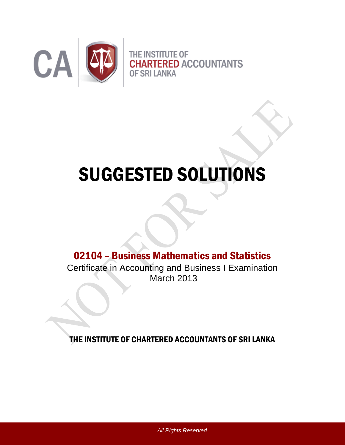

# SUGGESTED SOLUTIONS

## 02104 – Business Mathematics and Statistics

Certificate in Accounting and Business I Examination March 2013

THE INSTITUTE OF CHARTERED ACCOUNTANTS OF SRI LANKA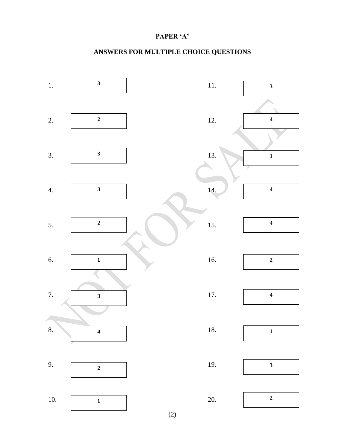#### **PAPER 'A'**

#### **ANSWERS FOR MULTIPLE CHOICE QUESTIONS**



(2)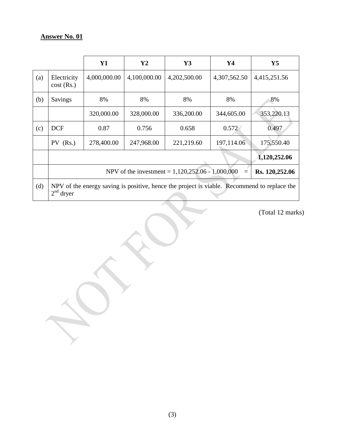|     |                                                                                                            | Y1           | Y2           | Y3           | Y4           | $\mathbf{Y}$ 5 |  |  |  |
|-----|------------------------------------------------------------------------------------------------------------|--------------|--------------|--------------|--------------|----------------|--|--|--|
| (a) | Electricity<br>$cost$ (Rs.)                                                                                | 4,000,000.00 | 4,100,000.00 | 4,202,500.00 | 4,307,562.50 | 4,415,251.56   |  |  |  |
| (b) | Savings                                                                                                    | 8%           | 8%           | 8%           | 8%           | 8%             |  |  |  |
|     |                                                                                                            | 320,000.00   | 328,000.00   | 336,200.00   | 344,605.00   | 353,220.13     |  |  |  |
| (c) | <b>DCF</b>                                                                                                 | 0.87         | 0.756        | 0.658        | 0.572        | 0.497          |  |  |  |
|     | $PV$ (Rs.)                                                                                                 | 278,400.00   | 247,968.00   | 221,219.60   | 197,114.06   | 175,550.40     |  |  |  |
|     |                                                                                                            |              |              |              |              | 1,120,252.06   |  |  |  |
|     | Rs. 120,252.06<br>NPV of the investment = $1,120,252.06 - 1,000,000$<br>$=$                                |              |              |              |              |                |  |  |  |
| (d) | NPV of the energy saving is positive, hence the project is viable. Recommend to replace the<br>$2nd$ dryer |              |              |              |              |                |  |  |  |

(Total 12 marks)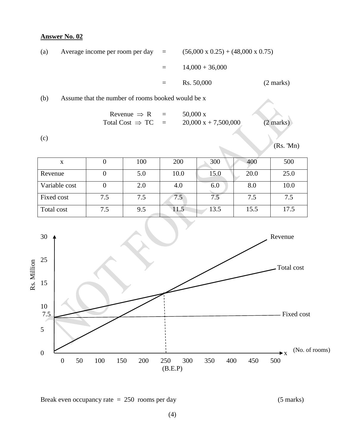| (a) | Average income per room per day $=$ |          | $(56,000 \times 0.25) + (48,000 \times 0.75)$ |                     |
|-----|-------------------------------------|----------|-----------------------------------------------|---------------------|
|     |                                     | $=$ $-$  | $14,000 + 36,000$                             |                     |
|     |                                     | $\equiv$ | Rs. 50,000                                    | $(2 \text{ marks})$ |
|     |                                     |          |                                               |                     |

(b) Assume that the number of rooms booked would be x

$$
\begin{array}{rcl}\n\text{Revenue} & \Rightarrow \text{ R} & = & 50,000 \text{ x} \\
\text{Total Cost} & \Rightarrow \text{ TC} & = & 20,000 \text{ x} + 7,500,000 \qquad (2 \text{ marks})\n\end{array}
$$

(c)

(Rs. 'Mn)

| X             |     | 100 | 200  | 300  | 400  | 500  |
|---------------|-----|-----|------|------|------|------|
| Revenue       |     | 5.0 | 10.0 | 15.0 | 20.0 | 25.0 |
| Variable cost |     | 2.0 | 4.0  | 6.0  | 8.0  | 10.0 |
| Fixed cost    | 7.5 | 7.5 | 7.5  |      | 7.5  | 7.5  |
| Total cost    | 7.5 | 9.5 | 11.5 | 13.5 | 15.5 | 17.5 |



Break even occupancy rate = 250 rooms per day (5 marks)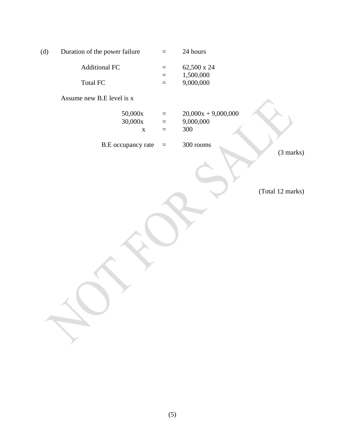| (d)                  | Duration of the power failure     | $\equiv$                         | 24 hours                                  |                  |
|----------------------|-----------------------------------|----------------------------------|-------------------------------------------|------------------|
| <b>Additional FC</b> |                                   | $\equiv$                         | 62,500 x 24                               |                  |
|                      | Total FC                          | $\equiv$<br>$\equiv$             | 1,500,000<br>9,000,000                    |                  |
|                      | Assume new B.E level is x         |                                  |                                           |                  |
|                      | 50,000x<br>30,000x<br>$\mathbf X$ | $\equiv$<br>$\equiv$<br>$\equiv$ | $20,000x + 9,000,000$<br>9,000,000<br>300 |                  |
|                      | B.E occupancy rate                | $\equiv$                         | 300 rooms                                 | (3 marks)        |
|                      |                                   |                                  |                                           |                  |
|                      |                                   |                                  |                                           | (Total 12 marks) |
|                      |                                   |                                  |                                           |                  |
|                      |                                   |                                  |                                           |                  |
|                      |                                   |                                  |                                           |                  |
|                      |                                   |                                  |                                           |                  |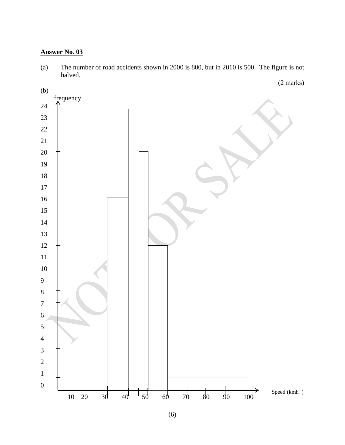(a) The number of road accidents shown in 2000 is 800, but in 2010 is 500. The figure is not halved.



(6)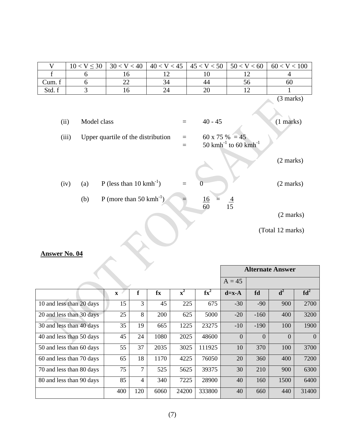|        | $10 < V \leq 30$ | 30 < V < 40 | 40 < V < 45 | 45 < V < 50 | 50 < V < 60 | 60 < V < 100 |
|--------|------------------|-------------|-------------|-------------|-------------|--------------|
|        |                  |             |             |             |             |              |
| Cum. f |                  | ∠∠          | 34          | 44          |             | 60           |
| Std. f |                  |             | 24          | ററ<br>∠∪    |             |              |

(3 marks)

 $\mathbf{r}$ 

| (ii)             |     | Model class                          | $40 - 45$                                                      | $(1$ marks)         |
|------------------|-----|--------------------------------------|----------------------------------------------------------------|---------------------|
| (iii)            |     | Upper quartile of the distribution   | 60 x 75 % = 45<br>50 kmh <sup>-1</sup> to 60 kmh <sup>-1</sup> |                     |
|                  |     |                                      |                                                                | $(2 \text{ marks})$ |
| (iv)             | (a) | P (less than $10 \text{ kmh}^{-1}$ ) |                                                                | $(2 \text{ marks})$ |
|                  | (b) | P (more than 50 $kmh^{-1}$ )         | $\frac{16}{60}$<br>$\frac{4}{15}$                              |                     |
|                  |     |                                      |                                                                | $(2 \text{ marks})$ |
|                  |     |                                      |                                                                | (Total 12 marks)    |
| <u>er No. 04</u> |     |                                      |                                                                |                     |

### **Answer No. 04**

|                          |              |                | <b>Alternate Answer</b> |                |        |                |                |                |                 |
|--------------------------|--------------|----------------|-------------------------|----------------|--------|----------------|----------------|----------------|-----------------|
|                          | $A = 45$     |                |                         |                |        |                |                |                |                 |
|                          | $\mathbf{x}$ | f              | fx                      | $\mathbf{x}^2$ | $fx^2$ | $d=x-A$        | fd             | $\mathbf{d}^2$ | fd <sup>2</sup> |
| 10 and less than 20 days | 15           | 3              | 45                      | 225            | 675    | $-30$          | $-90$          | 900            | 2700            |
| 20 and less than 30 days | 25           | 8              | 200                     | 625            | 5000   | $-20$          | $-160$         | 400            | 3200            |
| 30 and less than 40 days | 35           | 19             | 665                     | 1225           | 23275  | $-10$          | $-190$         | 100            | 1900            |
| 40 and less than 50 days | 45           | 24             | 1080                    | 2025           | 48600  | $\overline{0}$ | $\overline{0}$ | $\Omega$       | $\overline{0}$  |
| 50 and less than 60 days | 55           | 37             | 2035                    | 3025           | 111925 | 10             | 370            | 100            | 3700            |
| 60 and less than 70 days | 65           | 18             | 1170                    | 4225           | 76050  | 20             | 360            | 400            | 7200            |
| 70 and less than 80 days | 75           | 7              | 525                     | 5625           | 39375  | 30             | 210            | 900            | 6300            |
| 80 and less than 90 days | 85           | $\overline{4}$ | 340                     | 7225           | 28900  | 40             | 160            | 1500           | 6400            |
|                          | 400          | 120            | 6060                    | 24200          | 333800 | 40             | 660            | 440            | 31400           |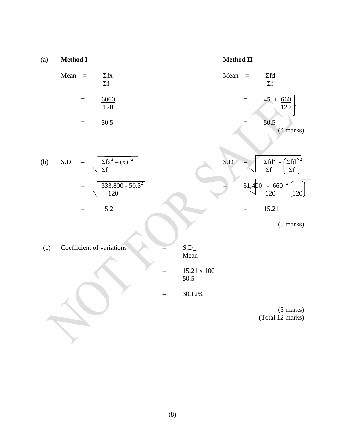(a) Method I  
\nMean = 
$$
\frac{\Sigma fx}{\Sigma f}
$$
  
\n=  $\frac{6060}{120}$   
\n= 50.5  
\n(b) S.D =  $\sqrt{\frac{\Sigma fx^2 - (x)^{-2}}{\Sigma f}}$   
\n=  $\sqrt{\frac{333,800 - 50.5^2}{120}}$   
\n= 15.21  
\n(c) Coefficient of variations  
\n=  $\frac{SD}{50.5}$   
\n=  $\frac{15.21 \times 100}{Mean}$   
\n=  $\frac{15.21 \times 100}{30.12\%}$   
\n= 30.12% (3 marks)  
\n(Total 12 marks)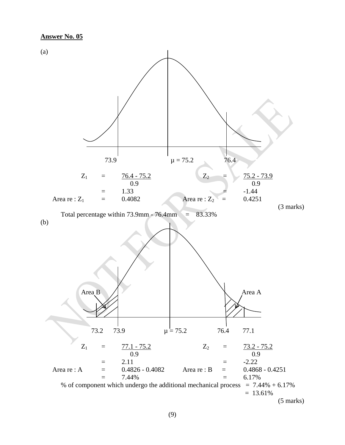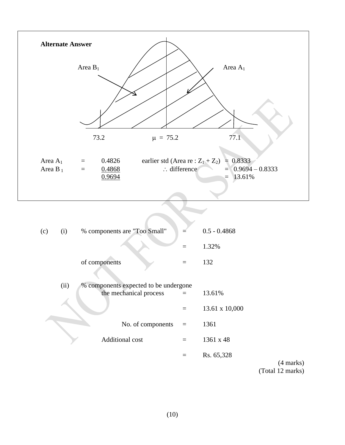

| (c) | (i)  | % components are "Too Small"          |          | $0.5 - 0.4868$ |
|-----|------|---------------------------------------|----------|----------------|
|     |      |                                       |          | 1.32%          |
|     |      | of components                         |          | 132            |
|     | (ii) | % components expected to be undergone |          |                |
|     |      | the mechanical process                |          | 13.61%         |
|     |      |                                       |          | 13.61 x 10,000 |
|     |      | No. of components                     | $\equiv$ | 1361           |
|     |      | <b>Additional cost</b>                |          | 1361 x 48      |
|     |      |                                       |          | Rs. 65,328     |
|     |      |                                       |          |                |

(4 marks) (Total 12 marks)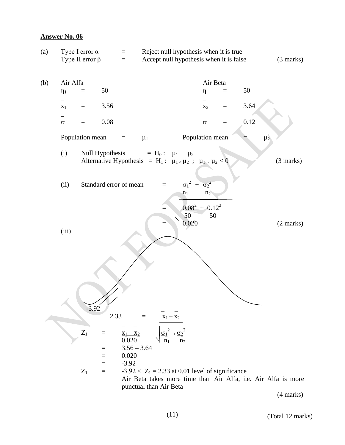

(Total 12 marks)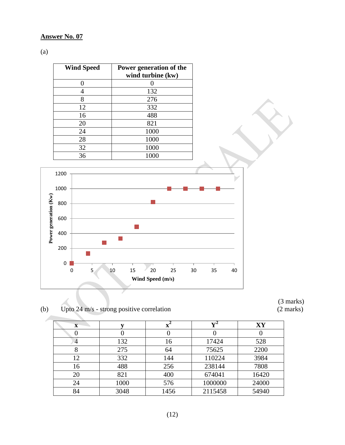(a)

| <b>Wind Speed</b> | Power generation of the<br>wind turbine (kw) |
|-------------------|----------------------------------------------|
|                   |                                              |
|                   | 132                                          |
| 8                 | 276                                          |
| 12                | 332                                          |
| 16                | 488                                          |
| 20                | 821                                          |
| 24                | 1000                                         |
| 28                | 1000                                         |
| 32                | 1000                                         |
| 36                | 1000                                         |



(b) Upto  $24 \text{ m/s}$  - strong positive correlation

| $\mathbf x$ |      |      | V4      | XY    |
|-------------|------|------|---------|-------|
|             |      |      |         |       |
| 4           | 132  | 16   | 17424   | 528   |
|             | 275  | 64   | 75625   | 2200  |
| 12          | 332  | 144  | 110224  | 3984  |
| 16          | 488  | 256  | 238144  | 7808  |
| 20          | 821  | 400  | 674041  | 16420 |
| 24          | 1000 | 576  | 1000000 | 24000 |
| 84          | 3048 | 1456 | 2115458 | 54940 |

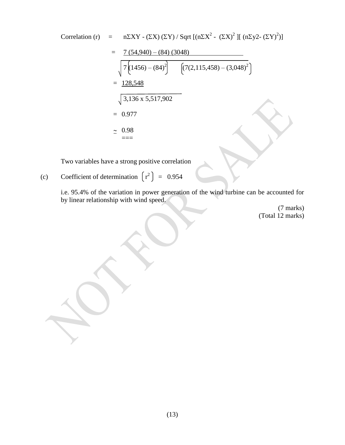Correlation (r) = n\Sigma XY - ( \Sigma X) ( \Sigma Y) / Sqrt [(n\Sigma X<sup>2</sup> - ( \Sigma X)<sup>2</sup> ] [(n\Sigma y2 - ( \Sigma Y)<sup>2</sup>)]  
\n= 
$$
\frac{7 (54,940) - (84) (3048)}{\sqrt{7 (1456) - (84)^2} \left[ (7(2,115,458) - (3,048)^2 \right]}
$$
  
\n=  $\frac{128,548}{3,136 \times 5,517,902}$   
\n= 0.977  
\n $\approx 0.98$   
\n==

Two variables have a strong positive correlation

(c) Coefficient of determination  $\begin{bmatrix} r^2 \end{bmatrix} = 0.954$ 

i.e. 95.4% of the variation in power generation of the wind turbine can be accounted for by linear relationship with wind speed.

(7 marks) (Total 12 marks)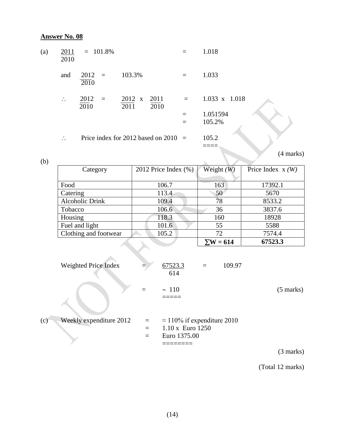(b)

| (a) | 2010         | $2011 = 101.8\%$ |     |                     |                                        |     | 1.018                |  |
|-----|--------------|------------------|-----|---------------------|----------------------------------------|-----|----------------------|--|
|     | and          | $2012 =$<br>2010 |     | 103.3%              |                                        |     | 1.033                |  |
|     | $\therefore$ | 2012<br>2010     | $=$ | 2012 x 2011<br>2011 | 2010                                   | $=$ | $1.033 \times 1.018$ |  |
|     |              |                  |     |                     |                                        |     | 1.051594             |  |
|     |              |                  |     |                     |                                        |     | 105.2%               |  |
|     | $\therefore$ |                  |     |                     | Price index for 2012 based on $2010 =$ |     | 105.2                |  |
|     |              |                  |     |                     |                                        |     |                      |  |

(4 marks)

| Category              | 2012 Price Index $(\% )$ | Weight $(W)$     | Price Index $x(W)$ |
|-----------------------|--------------------------|------------------|--------------------|
|                       |                          |                  |                    |
| Food                  | 106.7                    | 163              | 17392.1            |
| Catering              | 113.4                    | 50               | 5670               |
| Alcoholic Drink       | 109.4                    | 78               | 8533.2             |
| Tobacco               | 106.6                    | 36               | 3837.6             |
| Housing               | 118.3                    | 160              | 18928              |
| Fuel and light        | 101.6                    | 55               | 5588               |
| Clothing and footwear | 105.2                    | 72               | 7574.4             |
|                       |                          | $\Sigma W = 614$ | 67523.3            |

| Weighted Price Index           |                 | 67523.3<br>109.97<br>$=$<br>614                                               |                      |
|--------------------------------|-----------------|-------------------------------------------------------------------------------|----------------------|
|                                |                 | $\sim 110$                                                                    | $(5 \text{ marks})$  |
| Weekly expenditure 2012<br>(c) | $\equiv$<br>$=$ | $\approx$ 110% if expenditure 2010<br>$1.10 \times$ Euro 1250<br>Euro 1375.00 |                      |
|                                |                 |                                                                               | $(2 \text{ months})$ |

(3 marks)

(Total 12 marks)